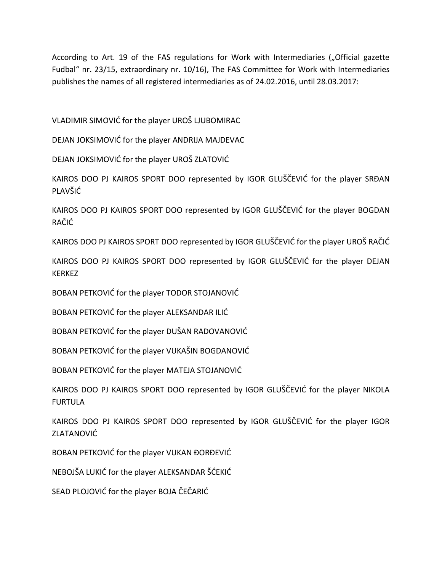According to Art. 19 of the FAS regulations for Work with Intermediaries ("Official gazette Fudbal" nr. 23/15, extraordinary nr. 10/16), The FAS Committee for Work with Intermediaries publishes the names of all registered intermediaries as of 24.02.2016, until 28.03.2017:

VLADIMIR SIMOVIĆ for the player UROŠ LJUBOMIRAC

DEJAN JOKSIMOVIĆ for the player ANDRIJA MAJDEVAC

DEJAN JOKSIMOVIĆ for the player UROŠ ZLATOVIĆ

KAIROS DOO PJ KAIROS SPORT DOO represented by IGOR GLUŠČEVIĆ for the player SRĐAN PLAVŠIĆ

KAIROS DOO PJ KAIROS SPORT DOO represented by IGOR GLUŠČEVIĆ for the player BOGDAN RAČIĆ

KAIROS DOO PJ KAIROS SPORT DOO represented by IGOR GLUŠČEVIĆ for the player UROŠ RAČIĆ

KAIROS DOO PJ KAIROS SPORT DOO represented by IGOR GLUŠČEVIĆ for the player DEJAN KERKEZ

BOBAN PETKOVIĆ for the player TODOR STOJANOVIĆ

BOBAN PETKOVIĆ for the player ALEKSANDAR ILIĆ

BOBAN PETKOVIĆ for the player DUŠAN RADOVANOVIĆ

BOBAN PETKOVIĆ for the player VUKAŠIN BOGDANOVIĆ

BOBAN PETKOVIĆ for the player MATEJA STOJANOVIĆ

KAIROS DOO PJ KAIROS SPORT DOO represented by IGOR GLUŠČEVIĆ for the player NIKOLA FURTULA

KAIROS DOO PJ KAIROS SPORT DOO represented by IGOR GLUŠČEVIĆ for the player IGOR **ZLATANOVIĆ** 

BOBAN PETKOVIĆ for the player VUKAN ĐORĐEVIĆ

NEBOJŠA LUKIĆ for the player ALEKSANDAR ŠĆEKIĆ

SEAD PLOJOVIĆ for the player BOJA ČEČARIĆ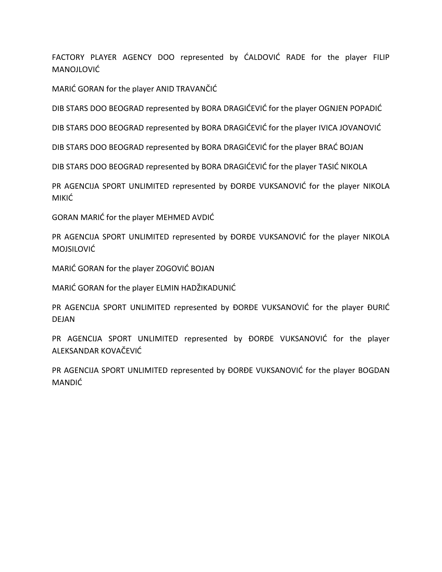FACTORY PLAYER AGENCY DOO represented by CALDOVIC RADE for the player FILIP MANOJLOVIĆ

MARIĆ GORAN for the player ANID TRAVANČIĆ

DIB STARS DOO BEOGRAD represented by BORA DRAGIĆEVIĆ for the player OGNJEN POPADIĆ

DIB STARS DOO BEOGRAD represented by BORA DRAGIĆEVIĆ for the player IVICA JOVANOVIĆ

DIB STARS DOO BEOGRAD represented by BORA DRAGIĆEVIĆ for the player BRAĆ BOJAN

DIB STARS DOO BEOGRAD represented by BORA DRAGIĆEVIĆ for the player TASIĆ NIKOLA

PR AGENCIJA SPORT UNLIMITED represented by ĐORĐE VUKSANOVIĆ for the player NIKOLA MIKIĆ.

GORAN MARIC for the player MEHMED AVDIC

PR AGENCIJA SPORT UNLIMITED represented by ĐORĐE VUKSANOVIĆ for the player NIKOLA **MOJSILOVIĆ** 

MARIĆ GORAN for the player ZOGOVIĆ BOJAN

MARIĆ GORAN for the player ELMIN HADŽIKADUNIĆ

PR AGENCIJA SPORT UNLIMITED represented by ĐORĐE VUKSANOVIĆ for the player ĐURIĆ DEJAN

PR AGENCIJA SPORT UNLIMITED represented by ĐORĐE VUKSANOVIĆ for the player ALEKSANDAR KOVAČEVIĆ

PR AGENCIJA SPORT UNLIMITED represented by ĐORĐE VUKSANOVIĆ for the player BOGDAN **MANDIĆ**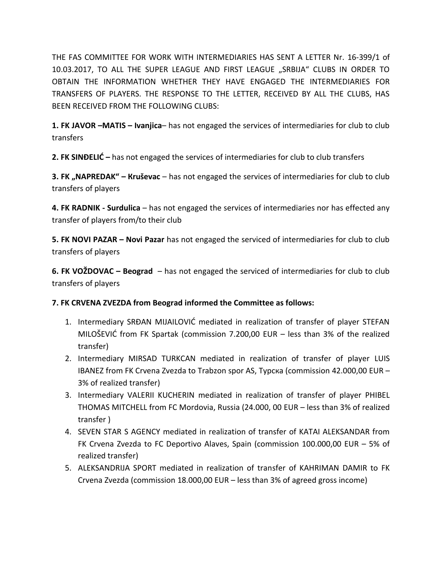THE FAS COMMITTEE FOR WORK WITH INTERMEDIARIES HAS SENT A LETTER Nr. 16-399/1 of 10.03.2017, TO ALL THE SUPER LEAGUE AND FIRST LEAGUE "SRBIJA" CLUBS IN ORDER TO OBTAIN THE INFORMATION WHETHER THEY HAVE ENGAGED THE INTERMEDIARIES FOR TRANSFERS OF PLAYERS. THE RESPONSE TO THE LETTER, RECEIVED BY ALL THE CLUBS, HAS BEEN RECEIVED FROM THE FOLLOWING CLUBS:

**1. FK JAVOR –MATIS – Ivanjica**– has not engaged the services of intermediaries for club to club transfers

**2. FK SINĐELIĆ** – has not engaged the services of intermediaries for club to club transfers

**3. FK "NAPREDAK" – Кruševac** – has not engaged the services of intermediaries for club to club transfers of players

**4. FK RADNIK - Surdulica** – has not engaged the services of intermediaries nor has effected any transfer of players from/to their club

**5. FK NOVI PAZAR – Novi Pazar** has not engaged the serviced of intermediaries for club to club transfers of players

**6. FK VOŽDOVAC – Beograd** – has not engaged the serviced of intermediaries for club to club transfers of players

## **7. FK CRVENA ZVEZDA from Beograd informed the Committee as follows:**

- 1. Intermediary SRĐAN MIJAILOVIĆ mediated in realization of transfer of player STEFAN MILOŠEVIĆ from FK Spartak (commission 7.200,00 EUR – less than 3% of the realized transfer)
- 2. Intermediary MIRSAD TURKCAN mediated in realization of transfer of player LUIS IBANEZ from FK Crvena Zvezda to Trabzon spor AS, Турска (commission 42.000,00 EUR – 3% of realized transfer)
- 3. Intermediary VALERII KUCHERIN mediated in realization of transfer of player PHIBEL THOMAS MITCHELL from FC Mordovia, Russia (24.000, 00 EUR – less than 3% of realized transfer )
- 4. SEVEN STAR S AGENCY mediated in realization of transfer of KATAI ALEKSANDAR from FK Crvena Zvezda to FC Deportivo Alaves, Spain (commission 100.000,00 EUR – 5% оf realized transfer)
- 5. АLEKSANDRIJA SPORT mediated in realization of transfer of KAHRIMAN DAMIR to FK Crvena Zvezda (commission 18.000,00 EUR – less than 3% of agreed gross income)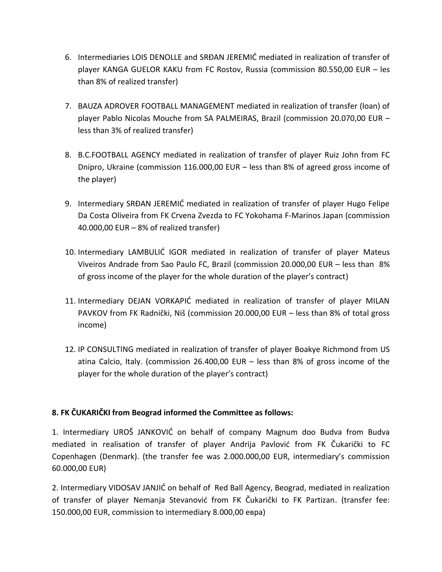- 6. Intermediaries LOIS DENOLLE and SRĐAN JEREMIĆ mediated in realization of transfer of player KANGA GUELOR KAKU from FC Rostov, Russia (commission 80.550,00 EUR – les than 8% of realized transfer)
- 7. BAUZA ADROVER FOOTBALL MANAGEMENT mediated in realization of transfer (loan) of player Pablo Nicolas Mouche from SA PALMEIRAS, Brazil (commission 20.070,00 EUR – less than 3% оf realized transfer)
- 8. B.C.FOOTBALL AGENCY mediated in realization of transfer of player Ruiz John from FC Dnipro, Ukraine (commission 116.000,00 EUR – less than 8% оf agreed gross income of the player)
- 9. Intermediary SRĐAN JEREMIĆ mediated in realization of transfer of player Hugo Felipe Da Costa Oliveira from FK Crvena Zvezda to FC Yokohama F-Marinos Japan (commission 40.000,00 EUR – 8% оf realized transfer)
- 10. Intermediary LAMBULIĆ IGOR mediated in realization of transfer of player Mateus Viveiros Andrade from Sao Paulo FC, Brazil (commission 20.000,00 EUR – less than 8% of gross income of the player for the whole duration of the player's contract)
- 11. Intermediary DEJAN VORKAPIĆ mediated in realization of transfer of player MILAN PAVKOV from FK Radnički, Niš (commission 20.000,00 EUR – less than 8% of total gross income)
- 12. IP CONSULTING mediated in realization of transfer of player Boakye Richmond from US atina Calcio, Italy. (commission 26.400,00 EUR – less than 8% of gross income of the player for the whole duration of the player's contract)

## **8. FK ČUKARIČKI from Beograd informed the Committee as follows:**

1. Intermediary UROŠ JANKOVIĆ on behalf of company Magnum doo Budva from Budva mediated in realisation of transfer of player Andrija Pavlovid from FK Čukarički to FC Copenhagen (Denmark). (the transfer fee was 2.000.000,00 EUR, intermediary's commission 60.000,00 EUR)

2. Intermediary VIDOSAV JANJIĆ on behalf of Red Ball Agency, Beograd, mediated in realization of transfer of player Nemanja Stevanović from FK Čukarički to FK Partizan. (transfer fee: 150.000,00 EUR, commission to intermediary 8.000,00 евра)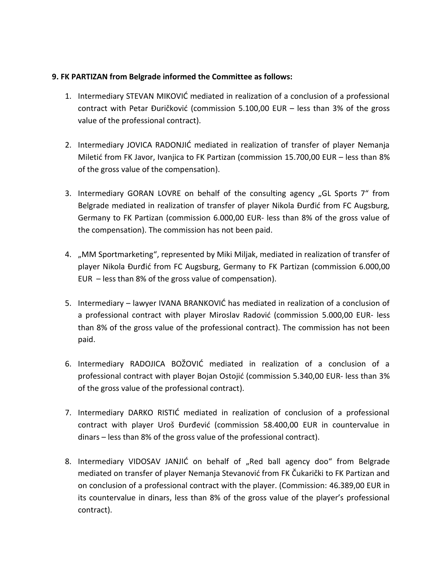#### **9. FK PARTIZAN from Belgrade informed the Committee as follows:**

- 1. Intermediary STEVAN MIKOVIĆ mediated in realization of a conclusion of a professional contract with Petar Đuričković (commission 5.100,00 EUR – less than 3% of the gross value of the professional contract).
- 2. Intermediary JOVICA RADONJIĆ mediated in realization of transfer of player Nemanja Miletid from FK Javor, Ivanjica to FK Partizan (commission 15.700,00 EUR – less than 8% of the gross value of the compensation).
- 3. Intermediary GORAN LOVRE on behalf of the consulting agency "GL Sports 7" from Belgrade mediated in realization of transfer of player Nikola Đurđić from FC Augsburg, Germany to FK Partizan (commission 6.000,00 EUR- less than 8% of the gross value of the compensation). The commission has not been paid.
- 4. "ММ Sportmarketing", represented by Мiki Miljak, mediated in realization of transfer of player Nikola Đurđid from FC Augsburg, Germany to FK Partizan (commission 6.000,00 EUR – less than 8% of the gross value of compensation).
- 5. Intermediary lawyer IVANA BRANKOVIĆ has mediated in realization of a conclusion of a professional contract with player Miroslav Radović (commission 5.000,00 EUR- less than 8% of the gross value of the professional contract). The commission has not been paid.
- 6. Intermediary RADOJICA BOŽOVIĆ mediated in realization of a conclusion of a professional contract with player Bojan Ostojić (commission 5.340,00 EUR- less than 3% of the gross value of the professional contract).
- 7. Intermediary DARKO RISTIĆ mediated in realization of conclusion of a professional contract with player Uroš Đurđević (commission 58.400,00 EUR in countervalue in dinars – less than 8% of the gross value of the professional contract).
- 8. Intermediary VIDOSAV JANJIĆ on behalf of "Red ball agency doo" from Belgrade mediated on transfer of player Nemanja Stevanovid from FK Čukarički to FK Partizan and on conclusion of a professional contract with the player. (Commission: 46.389,00 EUR in its countervalue in dinars, less than 8% of the gross value of the player's professional contract).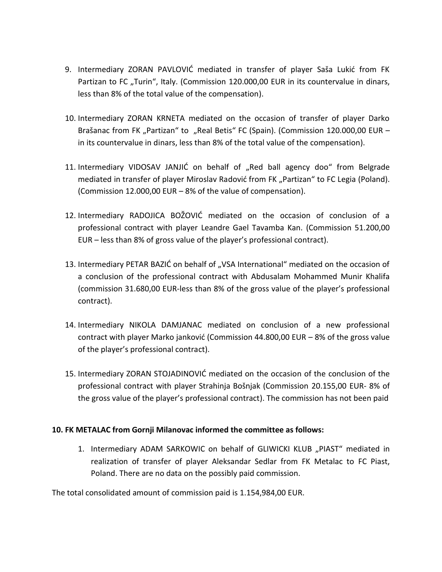- 9. Intermediary ZORAN PAVLOVIĆ mediated in transfer of player Saša Lukić from FK Partizan to FC "Turin", Italy. (Commission 120.000,00 EUR in its countervalue in dinars, less than 8% of the total value of the compensation).
- 10. Intermediary ZORAN KRNETA mediated on the occasion of transfer of player Darko Brašanac from FK "Partizan" to "Real Betis" FC (Spain). (Commission 120.000,00 EUR – in its countervalue in dinars, less than 8% of the total value of the compensation).
- 11. Intermediary VIDOSAV JANJIĆ on behalf of "Red ball agency doo" from Belgrade mediated in transfer of player Miroslav Radović from FK "Partizan" to FC Legia (Poland). (Commission 12.000,00 EUR – 8% of the value of compensation).
- 12. Intermediary RADOJICA BOŽOVIĆ mediated on the occasion of conclusion of a professional contract with player Leandre Gael Tavamba Kan. (Commission 51.200,00 EUR – less than 8% of gross value of the player's professional contract).
- 13. Intermediary PETAR BAZIĆ on behalf of "VSA International" mediated on the occasion of a conclusion of the professional contract with Аbdusalam Mohammed Munir Khalifa (commission 31.680,00 EUR-less than 8% of the gross value of the player's professional contract).
- 14. Intermediary NIKOLA DAMJANAC mediated on conclusion of a new professional contract with player Marko janković (Commission 44.800,00 EUR  $-8\%$  of the gross value of the player's professional contract).
- 15. Intermediary ZORAN STOJADINOVIĆ mediated on the occasion of the conclusion of the professional contract with player Strahinja Bošnjak (Commission 20.155,00 EUR- 8% of the gross value of the player's professional contract). The commission has not been paid

### **10. FK METALAC from Gornji Milanovac informed the committee as follows:**

1. Intermediary ADAM SARKOWIC on behalf of GLIWICKI KLUB "PIAST" mediated in realization of transfer of player Aleksandar Sedlar from FK Metalac to FC Piast, Pоland. There are no data on the possibly paid commission.

The total consolidated amount of commission paid is 1.154,984,00 ЕUR.